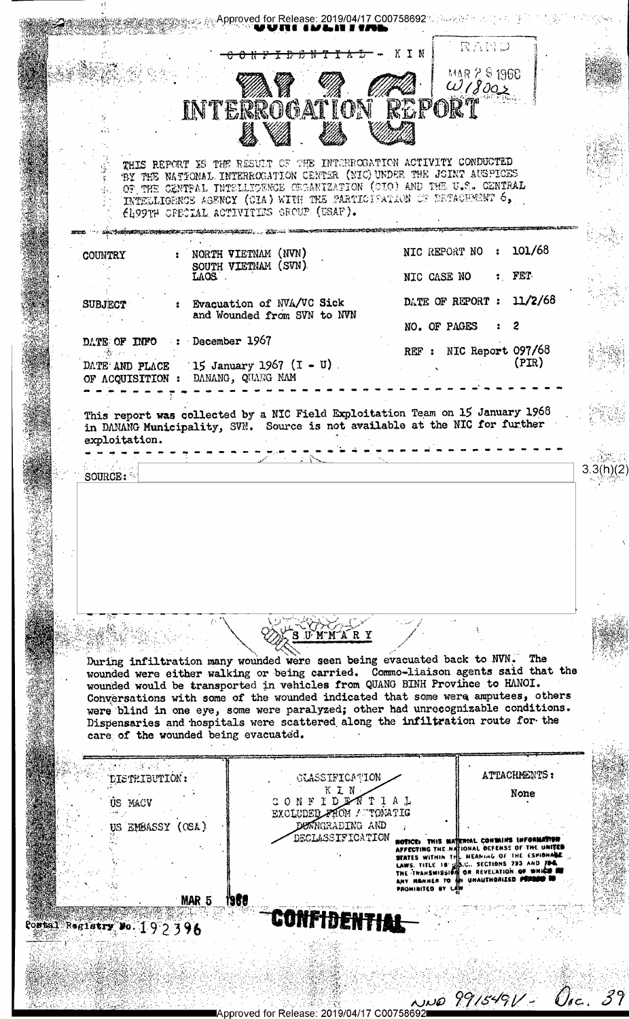Approved for Release: 2019/04/17 C00758692 Passage for a state of the set RAND **IDENTIAL-KIN** <del>00 N N</del> MAR 2 S 1968  $018002$ INTERROGATION REPORT THIS REPORT IS THE RESULT OF THE INTERROGATION ACTIVITY CONDUCTED BY THE NATIONAL INTERROGATION CENTER (NIC) UNDER THE JOINT AUSPICES OF THE CENTRAL INTELLICENCE CEGANIZATION (CIO) AND THE U.S. CENTRAL INTELLIGENCE AGENCY (CIA) WITH THE PARTICIPATION OF DETACHMENT 6, ELPPTH OFECIAL ACTIVITIES GROUP (USAF). Augustinia (Al NIC REPORT NO : 101/68 COUNTRY NORTH VIETNAM (NVN) SOUTH VIETNAM (SVN) : FET NIC CASE NO  $_{\rm{LOS}}$  .  $11/2/68$ DATE OF REPORT : **SUBJECT** Evacuation of NVA/VC Sick and Wounded from SVN to NVN NO. OF PAGES 2 : December 1967 DATE OF INFO REF : NIC Report 097/68  $(PIR)$ 15 January 1967  $(I - U)$ . DATE AND PLACE OF ACQUISITION : DANANG, QUANG NAM This report was collected by a NIC Field Exploitation Team on 15 January 1968 in DANANG Municipality, SVN. Source is not available at the NIC for further exploitation.  $3.3(h)(2)$ SOURCE: S U M M A R Y During infiltration many wounded were seen being evacuated back to NVN. The wounded were either walking or being carried. Commo-liaison agents said that the wounded would be transported in vehicles from QUANG BINH Province to HANOI. Conversations with some of the wounded indicated that some were amputees, others were blind in one eye, some were paralyzed; other had unrecognizable conditions. Dispensaries and hospitals were scattered along the infiltration route for the care of the wounded being evacuated.  $\frac{1}{2}$  ,  $\frac{1}{2}$  ,  $\frac{1}{2}$ ATTACHMENTS: DISTRIBUTION: **GLASSIFICATION**  $K$   $\chi$   $N$ None CONFIDENTIAL US MACY EXCLUDED FROM AUTOMATIC US EMBASSY (OSA) DEMNGRADING AND DECLASSIFICATION **ROTICE:** THIS MATERIAL CONTAINS INFORMATION<br>AFFECTING THE NATIONAL DEFENSE OF THE UNITED<br>STATES WITHIN THE NEANING OF THE ESPIONALE<br>LAWS. TITLE 18 US.C. SECTIONS 795 AND 794.<br>THE TRANSMISSION OR REVELATION OF WHICH SU<br>ANY PROMIBITED BY MAR<sub>5</sub> 1951 con<del>fidentia</del> Postal Registry Do. 192396 NNO 9915-191 - Orc. 39

Approved for Release: 2019/04/17 C0075869